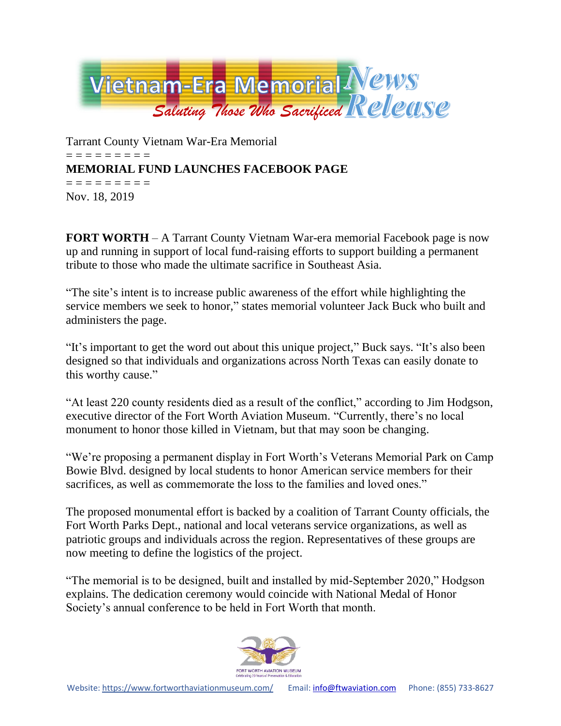

Tarrant County Vietnam War-Era Memorial = = = = = = = = = **MEMORIAL FUND LAUNCHES FACEBOOK PAGE** = = = = = = = = = Nov. 18, 2019

**FORT WORTH** – A Tarrant County Vietnam War-era memorial Facebook page is now up and running in support of local fund-raising efforts to support building a permanent tribute to those who made the ultimate sacrifice in Southeast Asia.

"The site's intent is to increase public awareness of the effort while highlighting the service members we seek to honor," states memorial volunteer Jack Buck who built and administers the page.

"It's important to get the word out about this unique project," Buck says. "It's also been designed so that individuals and organizations across North Texas can easily donate to this worthy cause."

"At least 220 county residents died as a result of the conflict," according to Jim Hodgson, executive director of the Fort Worth Aviation Museum. "Currently, there's no local monument to honor those killed in Vietnam, but that may soon be changing.

"We're proposing a permanent display in Fort Worth's Veterans Memorial Park on Camp Bowie Blvd. designed by local students to honor American service members for their sacrifices, as well as commemorate the loss to the families and loved ones."

The proposed monumental effort is backed by a coalition of Tarrant County officials, the Fort Worth Parks Dept., national and local veterans service organizations, as well as patriotic groups and individuals across the region. Representatives of these groups are now meeting to define the logistics of the project.

"The memorial is to be designed, built and installed by mid-September 2020," Hodgson explains. The dedication ceremony would coincide with National Medal of Honor Society's annual conference to be held in Fort Worth that month.